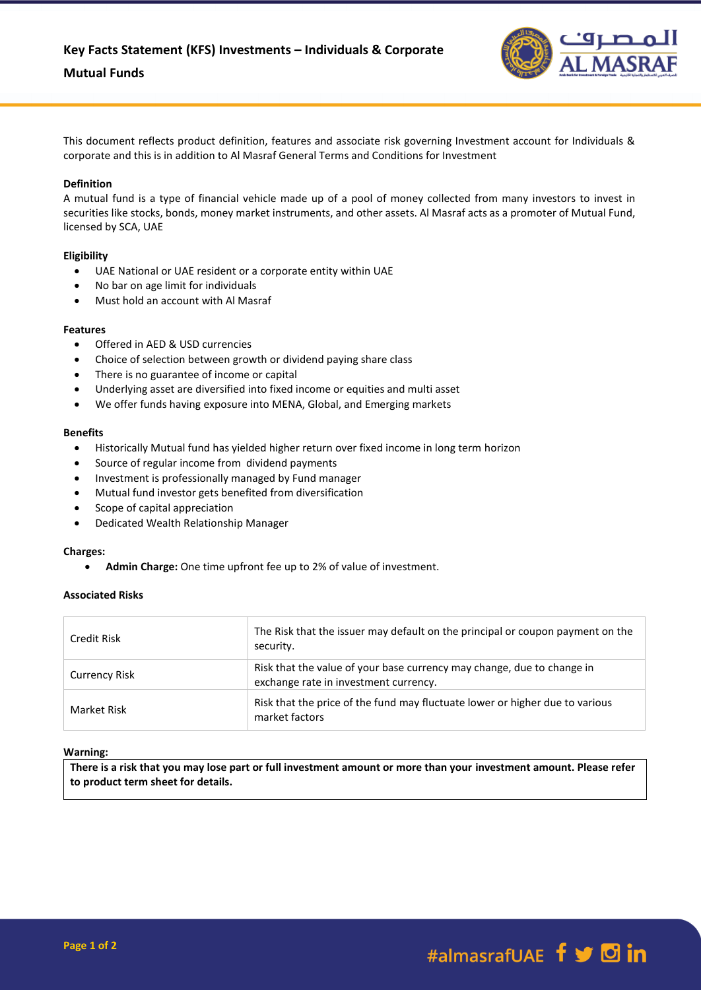

This document reflects product definition, features and associate risk governing Investment account for Individuals & corporate and this is in addition to Al Masraf General Terms and Conditions for Investment

# **Definition**

A mutual fund is a type of financial vehicle made up of a pool of money collected from many investors to invest in securities like stocks, bonds, money market instruments, and other assets. Al Masraf acts as a promoter of Mutual Fund, licensed by SCA, UAE

## **Eligibility**

- UAE National or UAE resident or a corporate entity within UAE
- No bar on age limit for individuals
- Must hold an account with Al Masraf

## **Features**

- Offered in AED & USD currencies
- Choice of selection between growth or dividend paying share class
- There is no guarantee of income or capital
- Underlying asset are diversified into fixed income or equities and multi asset
- We offer funds having exposure into MENA, Global, and Emerging markets

## **Benefits**

- Historically Mutual fund has yielded higher return over fixed income in long term horizon
- Source of regular income from dividend payments
- Investment is professionally managed by Fund manager
- Mutual fund investor gets benefited from diversification
- Scope of capital appreciation
- Dedicated Wealth Relationship Manager

### **Charges:**

**Admin Charge:** One time upfront fee up to 2% of value of investment.

# **Associated Risks**

| Credit Risk          | The Risk that the issuer may default on the principal or coupon payment on the<br>security.                     |
|----------------------|-----------------------------------------------------------------------------------------------------------------|
| <b>Currency Risk</b> | Risk that the value of your base currency may change, due to change in<br>exchange rate in investment currency. |
| Market Risk          | Risk that the price of the fund may fluctuate lower or higher due to various<br>market factors                  |

# **Warning:**

**There is a risk that you may lose part or full investment amount or more than your investment amount. Please refer to product term sheet for details.**